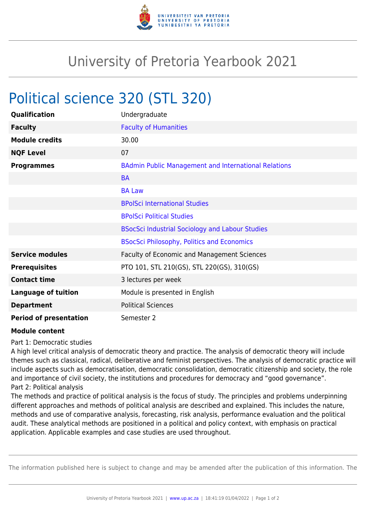

## University of Pretoria Yearbook 2021

## Political science 320 (STL 320)

| Qualification                 | Undergraduate                                               |
|-------------------------------|-------------------------------------------------------------|
| <b>Faculty</b>                | <b>Faculty of Humanities</b>                                |
| <b>Module credits</b>         | 30.00                                                       |
| <b>NQF Level</b>              | 07                                                          |
| <b>Programmes</b>             | <b>BAdmin Public Management and International Relations</b> |
|                               | <b>BA</b>                                                   |
|                               | <b>BA Law</b>                                               |
|                               | <b>BPolSci International Studies</b>                        |
|                               | <b>BPolSci Political Studies</b>                            |
|                               | <b>BSocSci Industrial Sociology and Labour Studies</b>      |
|                               | <b>BSocSci Philosophy, Politics and Economics</b>           |
| <b>Service modules</b>        | <b>Faculty of Economic and Management Sciences</b>          |
| <b>Prerequisites</b>          | PTO 101, STL 210(GS), STL 220(GS), 310(GS)                  |
| <b>Contact time</b>           | 3 lectures per week                                         |
| <b>Language of tuition</b>    | Module is presented in English                              |
| <b>Department</b>             | <b>Political Sciences</b>                                   |
| <b>Period of presentation</b> | Semester 2                                                  |

## **Module content**

Part 1: Democratic studies

A high level critical analysis of democratic theory and practice. The analysis of democratic theory will include themes such as classical, radical, deliberative and feminist perspectives. The analysis of democratic practice will include aspects such as democratisation, democratic consolidation, democratic citizenship and society, the role and importance of civil society, the institutions and procedures for democracy and "good governance". Part 2: Political analysis

The methods and practice of political analysis is the focus of study. The principles and problems underpinning different approaches and methods of political analysis are described and explained. This includes the nature, methods and use of comparative analysis, forecasting, risk analysis, performance evaluation and the political audit. These analytical methods are positioned in a political and policy context, with emphasis on practical application. Applicable examples and case studies are used throughout.

The information published here is subject to change and may be amended after the publication of this information. The